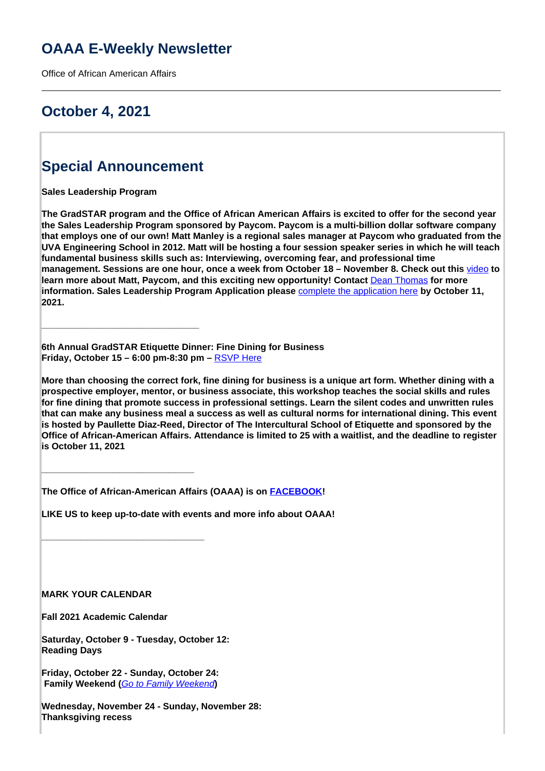# **OAAA E-Weekly Newsletter**

Office of African American Affairs

# **October 4, 2021**

# **Special Announcement**

**\_\_\_\_\_\_\_\_\_\_\_\_\_\_\_\_\_\_\_\_\_\_\_\_\_\_\_\_\_\_\_**

**Sales Leadership Program**

**The GradSTAR program and the Office of African American Affairs is excited to offer for the second year the Sales Leadership Program sponsored by Paycom. Paycom is a multi-billion dollar software company that employs one of our own! Matt Manley is a regional sales manager at Paycom who graduated from the UVA Engineering School in 2012. Matt will be hosting a four session speaker series in which he will teach fundamental business skills such as: Interviewing, overcoming fear, and professional time management. Sessions are one hour, once a week from October 18 – November 8. Check out this** [video](https://share.vidyard.com/watch/sJHWc8qY9ouVHXEuyFrVUr?) **to learn more about Matt, Paycom, and this exciting new opportunity! Contact** Dean Thomas **for more information. Sales Leadership Program Application please** complete the application here **by October 11, 2021.**

**6th Annual GradSTAR Etiquette Dinner: Fine Dining for Business Friday, October 15 – 6:00 pm-8:30 pm –** RSVP Here

**More than choosing the correct fork, fine dining for business is a unique art form. Whether dining with a prospective employer, mentor, or business associate, this workshop teaches the social skills and rules for fine dining that promote success in professional settings. Learn the silent codes and unwritten rules that can make any business meal a success as well as cultural norms for international dining. This event is hosted by Paullette Diaz-Reed, Director of The Intercultural School of Etiquette and sponsored by the Office of African-American Affairs. Attendance is limited to 25 with a waitlist, and the deadline to register is October 11, 2021**

**The Office of African-American Affairs (OAAA) is on FACEBOOK!**

**LIKE US to keep up-to-date with events and more info about OAAA!**

**\_\_\_\_\_\_\_\_\_\_\_\_\_\_\_\_\_\_\_\_\_\_\_\_\_\_\_\_\_\_\_\_**

**\_\_\_\_\_\_\_\_\_\_\_\_\_\_\_\_\_\_\_\_\_\_\_\_\_\_\_\_\_\_**

**MARK YOUR CALENDAR**

**Fall 2021 Academic Calendar** 

**Saturday, October 9 - Tuesday, October 12: Reading Days**

**Friday, October 22 - Sunday, October 24: Family Weekend (**Go to Family Weekend**)**

**Wednesday, November 24 - Sunday, November 28: Thanksgiving recess**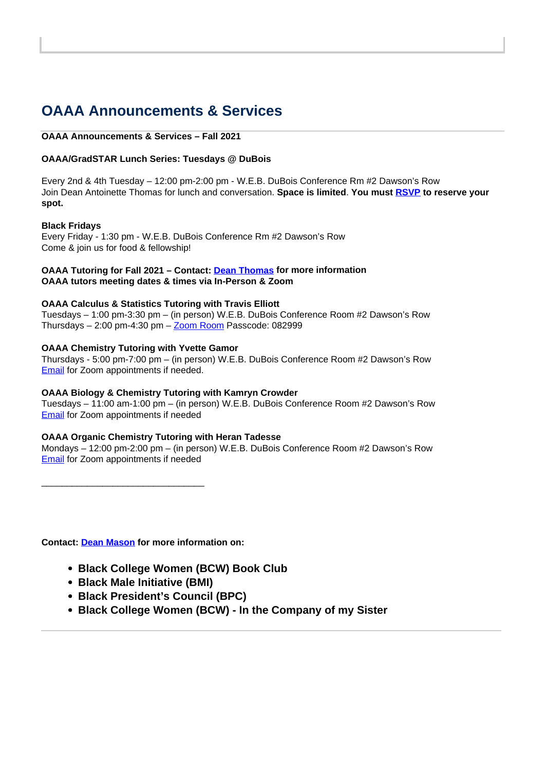# **OAAA Announcements & Services**

### **OAAA Announcements & Services – Fall 2021**

# **OAAA/GradSTAR Lunch Series: Tuesdays @ DuBois**

Every 2nd & 4th Tuesday – 12:00 pm-2:00 pm - W.E.B. DuBois Conference Rm #2 Dawson's Row Join Dean Antoinette Thomas for lunch and conversation. **Space is limited**. **You must RSVP to reserve your spot.**

### **Black Fridays**

Every Friday - 1:30 pm - W.E.B. DuBois Conference Rm #2 Dawson's Row Come & join us for food & fellowship!

# **OAAA Tutoring for Fall 2021 – Contact: Dean Thomas for more information OAAA tutors meeting dates & times via In-Person & Zoom**

# **OAAA Calculus & Statistics Tutoring with Travis Elliott**

Tuesdays – 1:00 pm-3:30 pm – (in person) W.E.B. DuBois Conference Room #2 Dawson's Row Thursdays  $-2:00$  pm-4:30 pm  $-\underline{Zoom}$  Room Passcode: 082999

# **OAAA Chemistry Tutoring with Yvette Gamor**

Thursdays - 5:00 pm-7:00 pm – (in person) W.E.B. DuBois Conference Room #2 Dawson's Row Email for Zoom appointments if needed.

### **OAAA Biology & Chemistry Tutoring with Kamryn Crowder**

Tuesdays – 11:00 am-1:00 pm – (in person) W.E.B. DuBois Conference Room #2 Dawson's Row **Email** for Zoom appointments if needed

# **OAAA Organic Chemistry Tutoring with Heran Tadesse**

Mondays – 12:00 pm-2:00 pm – (in person) W.E.B. DuBois Conference Room #2 Dawson's Row Email for Zoom appointments if needed

**Contact: Dean Mason for more information on:** 

\_\_\_\_\_\_\_\_\_\_\_\_\_\_\_\_\_\_\_\_\_\_\_\_\_\_\_\_\_\_\_\_

- **Black College Women (BCW) Book Club**
- **Black Male Initiative (BMI)**
- **Black President's Council (BPC)**
- **Black College Women (BCW) In the Company of my Sister**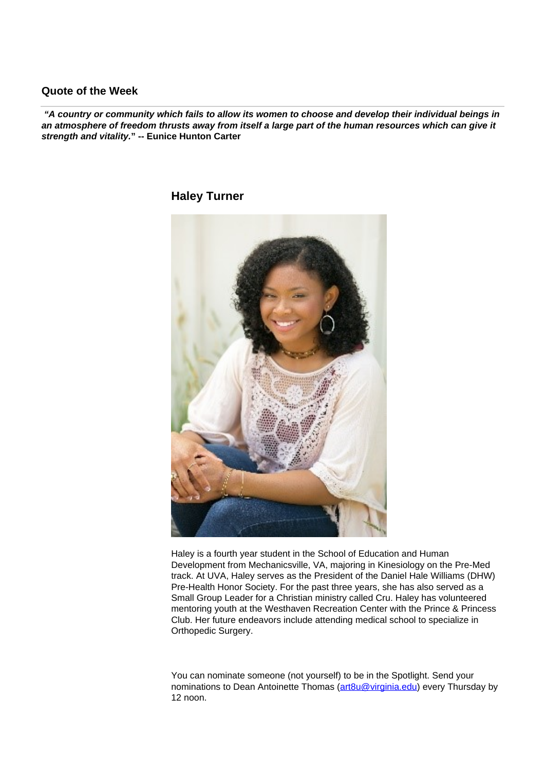# **Quote of the Week**

 **"A country or community which fails to allow its women to choose and develop their individual beings in an atmosphere of freedom thrusts away from itself a large part of the human resources which can give it strength and vitality." -- Eunice Hunton Carter**

**Haley Turner**

Haley is a fourth year student in the School of Education and Human Development from Mechanicsville, VA, majoring in Kinesiology on the Pre-Med track. At UVA, Haley serves as the President of the Daniel Hale Williams (DHW) Pre-Health Honor Society. For the past three years, she has also served as a Small Group Leader for a Christian ministry called Cru. Haley has volunteered mentoring youth at the Westhaven Recreation Center with the Prince & Princess Club. Her future endeavors include attending medical school to specialize in Orthopedic Surgery.

You can nominate someone (not yourself) to be in the Spotlight. Send your nominations to Dean Antoinette Thomas (art8u@virginia.edu) every Thursday by 12 noon.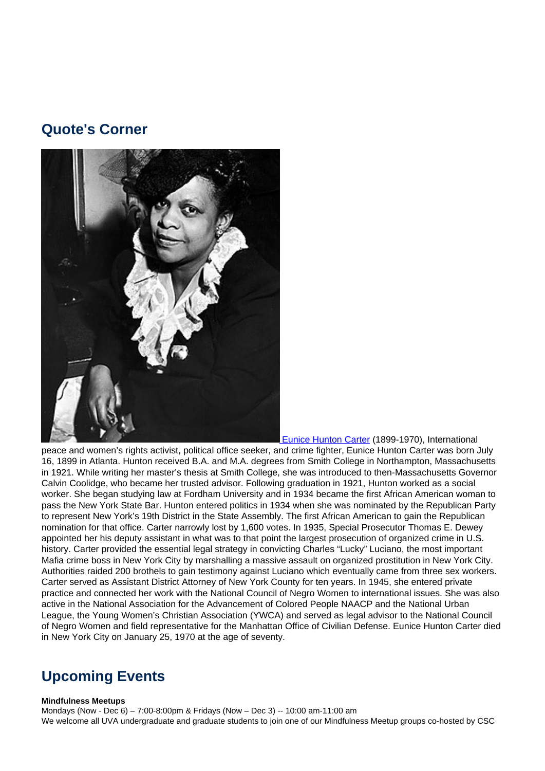# **Quote's Corner**



 Eunice Hunton Carter (1899-1970), International peace and women's rights activist, political office seeker, and crime fighter, Eunice Hunton Carter was born July 16, 1899 in Atlanta. Hunton received B.A. and M.A. degrees from Smith College in Northampton, Massachusetts in 1921. While writing her master's thesis at Smith College, she was introduced to then-Massachusetts Governor Calvin Coolidge, who became her trusted advisor. Following graduation in 1921, Hunton worked as a social worker. She began studying law at Fordham University and in 1934 became the first African American woman to pass the New York State Bar. Hunton entered politics in 1934 when she was nominated by the Republican Party to represent New York's 19th District in the State Assembly. The first African American to gain the Republican nomination for that office. Carter narrowly lost by 1,600 votes. In 1935, Special Prosecutor Thomas E. Dewey appointed her his deputy assistant in what was to that point the largest prosecution of organized crime in U.S. history. Carter provided the essential legal strategy in convicting Charles "Lucky" Luciano, the most important Mafia crime boss in New York City by marshalling a massive assault on organized prostitution in New York City. Authorities raided 200 brothels to gain testimony against Luciano which eventually came from three sex workers. Carter served as Assistant District Attorney of New York County for ten years. In 1945, she entered private practice and connected her work with the National Council of Negro Women to international issues. She was also active in the National Association for the Advancement of Colored People NAACP and the National Urban League, the Young Women's Christian Association (YWCA) and served as legal advisor to the National Council of Negro Women and field representative for the Manhattan Office of Civilian Defense. Eunice Hunton Carter died in New York City on January 25, 1970 at the age of seventy.

# **Upcoming Events**

#### **Mindfulness Meetups**

Mondays (Now - Dec 6) – 7:00-8:00pm & Fridays (Now – Dec 3) -- 10:00 am-11:00 am We welcome all UVA undergraduate and graduate students to join one of our Mindfulness Meetup groups co-hosted by CSC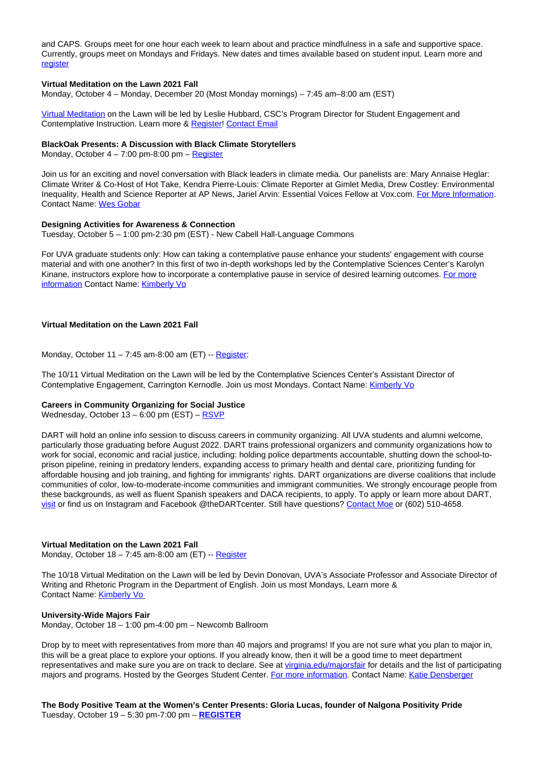and CAPS. Groups meet for one hour each week to learn about and practice mindfulness in a safe and supportive space. Currently, groups meet on Mondays and Fridays. New dates and times available based on student input. Learn more and **register** 

#### **Virtual Meditation on the Lawn 2021 Fall**

Monday, October 4 – Monday, December 20 (Most Monday mornings) – 7:45 am–8:00 am (EST)

Virtual Meditation on the Lawn will be led by Leslie Hubbard, CSC's Program Director for Student Engagement and Contemplative Instruction. Learn more & Register! Contact Email

#### **BlackOak Presents: A Discussion with Black Climate Storytellers**

Monday, October  $4 - 7:00$  pm-8:00 pm – Register

Join us for an exciting and novel conversation with Black leaders in climate media. Our panelists are: Mary Annaise Heglar: Climate Writer & Co-Host of Hot Take, Kendra Pierre-Louis: Climate Reporter at Gimlet Media, Drew Costley: Environmental Inequality, Health and Science Reporter at AP News, Jariel Arvin: Essential Voices Fellow at Vox.com. For More Information. Contact Name: Wes Gobar

#### **Designing Activities for Awareness & Connection**

Tuesday, October 5 – 1:00 pm-2:30 pm (EST) - New Cabell Hall-Language Commons

For UVA graduate students only: How can taking a contemplative pause enhance your students' engagement with course material and with one another? In this first of two in-depth workshops led by the Contemplative Sciences Center's Karolyn Kinane, instructors explore how to incorporate a contemplative pause in service of desired learning outcomes. For more information Contact Name: Kimberly Vo

#### **Virtual Meditation on the Lawn 2021 Fall**

Monday, October 11 – 7:45 am-8:00 am (ET) -- Register:

The 10/11 Virtual Meditation on the Lawn will be led by the Contemplative Sciences Center's Assistant Director of Contemplative Engagement, Carrington Kernodle. Join us most Mondays. Contact Name: Kimberly Vo

#### **Careers in Community Organizing for Social Justice**

Wednesday, October 13 - 6:00 pm (EST) - RSVP

DART will hold an online info session to discuss careers in community organizing. All UVA students and alumni welcome, particularly those graduating before August 2022. DART trains professional organizers and community organizations how to work for social, economic and racial justice, including: holding police departments accountable, shutting down the school-toprison pipeline, reining in predatory lenders, expanding access to primary health and dental care, prioritizing funding for affordable housing and job training, and fighting for immigrants' rights. DART organizations are diverse coalitions that include communities of color, low-to-moderate-income communities and immigrant communities. We strongly encourage people from these backgrounds, as well as fluent Spanish speakers and DACA recipients, to apply. To apply or learn more about DART, visit or find us on Instagram and Facebook @theDARTcenter. Still have questions? Contact Moe or (602) 510-4658.

#### **Virtual Meditation on the Lawn 2021 Fall**

Monday, October 18 – 7:45 am-8:00 am (ET) -- Register

The 10/18 Virtual Meditation on the Lawn will be led by Devin Donovan, UVA's Associate Professor and Associate Director of Writing and Rhetoric Program in the Department of English. Join us most Mondays, Learn more & Contact Name: Kimberly Vo

#### **University-Wide Majors Fair**

Monday, October 18 – 1:00 pm-4:00 pm – Newcomb Ballroom

Drop by to meet with representatives from more than 40 majors and programs! If you are not sure what you plan to major in, this will be a great place to explore your options. If you already know, then it will be a good time to meet department representatives and make sure you are on track to declare. See at virginia.edu/majorsfair for details and the list of participating majors and programs. Hosted by the Georges Student Center. For more information. Contact Name: Katie Densberger

**The Body Positive Team at the Women's Center Presents: Gloria Lucas, founder of Nalgona Positivity Pride** Tuesday, October 19 – 5:30 pm-7:00 pm – **REGISTER**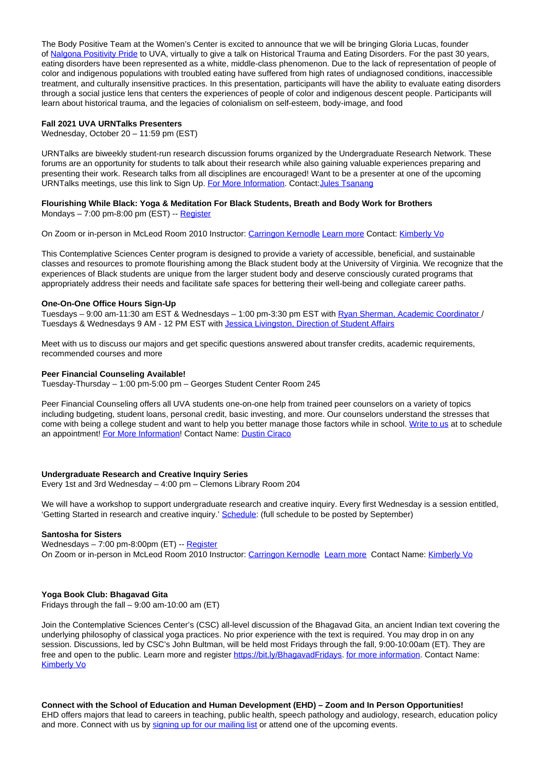The Body Positive Team at the Women's Center is excited to announce that we will be bringing Gloria Lucas, founder of Nalgona Positivity Pride to UVA, virtually to give a talk on Historical Trauma and Eating Disorders. For the past 30 years, eating disorders have been represented as a white, middle-class phenomenon. Due to the lack of representation of people of color and indigenous populations with troubled eating have suffered from high rates of undiagnosed conditions, inaccessible treatment, and culturally insensitive practices. In this presentation, participants will have the ability to evaluate eating disorders through a social justice lens that centers the experiences of people of color and indigenous descent people. Participants will learn about historical trauma, and the legacies of colonialism on self-esteem, body-image, and food

#### **Fall 2021 UVA URNTalks Presenters**

Wednesday, October 20 – 11:59 pm (EST)

URNTalks are biweekly student-run research discussion forums organized by the Undergraduate Research Network. These forums are an opportunity for students to talk about their research while also gaining valuable experiences preparing and presenting their work. Research talks from all disciplines are encouraged! Want to be a presenter at one of the upcoming URNTalks meetings, use this link to Sign Up. For More Information. Contact: Jules Tsanang

#### **Flourishing While Black: Yoga & Meditation For Black Students, Breath and Body Work for Brothers** Mondays  $-7:00$  pm-8:00 pm (EST)  $-$  Register

On Zoom or in-person in McLeod Room 2010 Instructor: Carringon Kernodle Learn more Contact: Kimberly Vo

This Contemplative Sciences Center program is designed to provide a variety of accessible, beneficial, and sustainable classes and resources to promote flourishing among the Black student body at the University of Virginia. We recognize that the experiences of Black students are unique from the larger student body and deserve consciously curated programs that appropriately address their needs and facilitate safe spaces for bettering their well-being and collegiate career paths.

#### **One-On-One Office Hours Sign-Up**

Tuesdays – 9:00 am-11:30 am EST & Wednesdays – 1:00 pm-3:30 pm EST with Ryan Sherman, Academic Coordinator / Tuesdays & Wednesdays 9 AM - 12 PM EST with Jessica Livingston, Direction of Student Affairs

Meet with us to discuss our majors and get specific questions answered about transfer credits, academic requirements, recommended courses and more

#### **Peer Financial Counseling Available!**

Tuesday-Thursday – 1:00 pm-5:00 pm – Georges Student Center Room 245

Peer Financial Counseling offers all UVA students one-on-one help from trained peer counselors on a variety of topics including budgeting, student loans, personal credit, basic investing, and more. Our counselors understand the stresses that come with being a college student and want to help you better manage those factors while in school. Write to us at to schedule an appointment! For More Information! Contact Name: Dustin Ciraco

#### **Undergraduate Research and Creative Inquiry Series**

Every 1st and 3rd Wednesday – 4:00 pm – Clemons Library Room 204

We will have a workshop to support undergraduate research and creative inquiry. Every first Wednesday is a session entitled, 'Getting Started in research and creative inquiry.' Schedule: (full schedule to be posted by September)

#### **Santosha for Sisters**

Wednesdays – 7:00 pm-8:00pm (ET) -- Register On Zoom or in-person in McLeod Room 2010 Instructor: Carringon Kernodle Learn more Contact Name: Kimberly Vo

#### **Yoga Book Club: Bhagavad Gita**

Fridays through the fall – 9:00 am-10:00 am (ET)

Join the Contemplative Sciences Center's (CSC) all-level discussion of the Bhagavad Gita, an ancient Indian text covering the underlying philosophy of classical yoga practices. No prior experience with the text is required. You may drop in on any session. Discussions, led by CSC's John Bultman, will be held most Fridays through the fall, 9:00-10:00am (ET). They are free and open to the public. Learn more and register https://bit.ly/BhagavadFridays. for more information. Contact Name: Kimberly Vo

**Connect with the School of Education and Human Development (EHD) – Zoom and In Person Opportunities!**

EHD offers majors that lead to careers in teaching, public health, speech pathology and audiology, research, education policy and more. Connect with us by signing up for our mailing list or attend one of the upcoming events.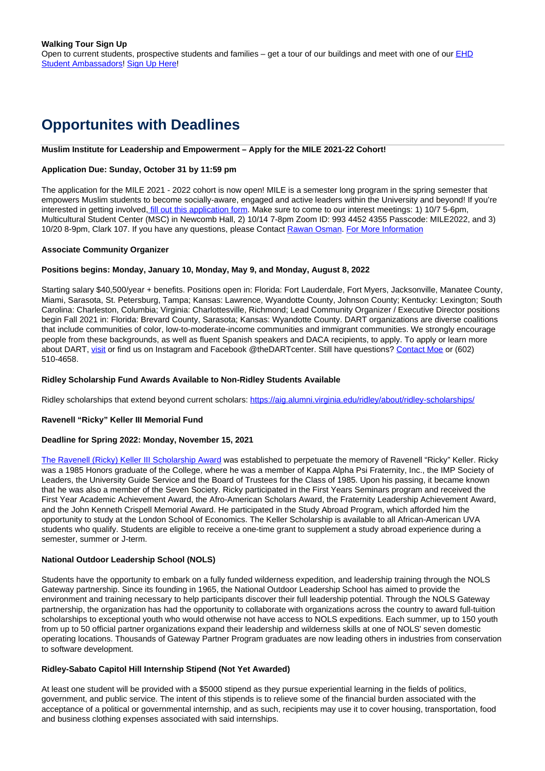# **Opportunites with Deadlines**

#### **Muslim Institute for Leadership and Empowerment – Apply for the MILE 2021-22 Cohort!**

#### **Application Due: Sunday, October 31 by 11:59 pm**

The application for the MILE 2021 - 2022 cohort is now open! MILE is a semester long program in the spring semester that empowers Muslim students to become socially-aware, engaged and active leaders within the University and beyond! If you're interested in getting involved, *fill out this application form*. Make sure to come to our interest meetings: 1) 10/7 5-6pm, Multicultural Student Center (MSC) in Newcomb Hall, 2) 10/14 7-8pm Zoom ID: 993 4452 4355 Passcode: MILE2022, and 3) 10/20 8-9pm, Clark 107. If you have any questions, please Contact Rawan Osman. For More Information

#### **Associate Community Organizer**

#### **Positions begins: Monday, January 10, Monday, May 9, and Monday, August 8, 2022**

Starting salary \$40,500/year + benefits. Positions open in: Florida: Fort Lauderdale, Fort Myers, Jacksonville, Manatee County, Miami, Sarasota, St. Petersburg, Tampa; Kansas: Lawrence, Wyandotte County, Johnson County; Kentucky: Lexington; South Carolina: Charleston, Columbia; Virginia: Charlottesville, Richmond; Lead Community Organizer / Executive Director positions begin Fall 2021 in: Florida: Brevard County, Sarasota; Kansas: Wyandotte County. DART organizations are diverse coalitions that include communities of color, low-to-moderate-income communities and immigrant communities. We strongly encourage people from these backgrounds, as well as fluent Spanish speakers and DACA recipients, to apply. To apply or learn more about DART, visit or find us on Instagram and Facebook @theDARTcenter. Still have questions? Contact Moe or (602) 510-4658.

#### **Ridley Scholarship Fund Awards Available to Non-Ridley Students Available**

Ridley scholarships that extend beyond current scholars: https://aig.alumni.virginia.edu/ridlev/about/ridlev-scholarships/

# **Ravenell "Ricky" Keller III Memorial Fund**

#### **Deadline for Spring 2022: Monday, November 15, 2021**

The Ravenell (Ricky) Keller III Scholarship Award was established to perpetuate the memory of Ravenell "Ricky" Keller. Ricky was a 1985 Honors graduate of the College, where he was a member of Kappa Alpha Psi Fraternity, Inc., the IMP Society of Leaders, the University Guide Service and the Board of Trustees for the Class of 1985. Upon his passing, it became known that he was also a member of the Seven Society. Ricky participated in the First Years Seminars program and received the First Year Academic Achievement Award, the Afro-American Scholars Award, the Fraternity Leadership Achievement Award, and the John Kenneth Crispell Memorial Award. He participated in the Study Abroad Program, which afforded him the opportunity to study at the London School of Economics. The Keller Scholarship is available to all African-American UVA students who qualify. Students are eligible to receive a one-time grant to supplement a study abroad experience during a semester, summer or J-term.

### **National Outdoor Leadership School (NOLS)**

Students have the opportunity to embark on a fully funded wilderness expedition, and leadership training through the NOLS Gateway partnership. Since its founding in 1965, the National Outdoor Leadership School has aimed to provide the environment and training necessary to help participants discover their full leadership potential. Through the NOLS Gateway partnership, the organization has had the opportunity to collaborate with organizations across the country to award full-tuition scholarships to exceptional youth who would otherwise not have access to NOLS expeditions. Each summer, up to 150 youth from up to 50 official partner organizations expand their leadership and wilderness skills at one of NOLS' seven domestic operating locations. Thousands of Gateway Partner Program graduates are now leading others in industries from conservation to software development.

### **Ridley-Sabato Capitol Hill Internship Stipend (Not Yet Awarded)**

At least one student will be provided with a \$5000 stipend as they pursue experiential learning in the fields of politics, government, and public service. The intent of this stipends is to relieve some of the financial burden associated with the acceptance of a political or governmental internship, and as such, recipients may use it to cover housing, transportation, food and business clothing expenses associated with said internships.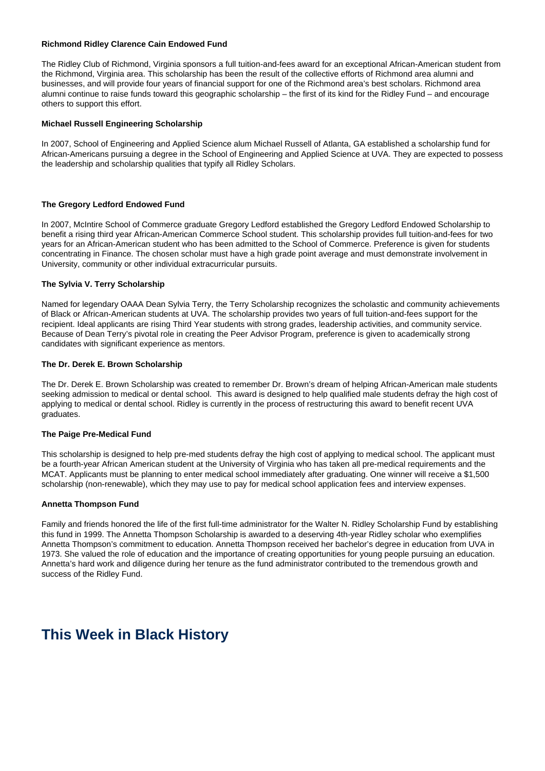#### **Richmond Ridley Clarence Cain Endowed Fund**

The Ridley Club of Richmond, Virginia sponsors a full tuition-and-fees award for an exceptional African-American student from the Richmond, Virginia area. This scholarship has been the result of the collective efforts of Richmond area alumni and businesses, and will provide four years of financial support for one of the Richmond area's best scholars. Richmond area alumni continue to raise funds toward this geographic scholarship – the first of its kind for the Ridley Fund – and encourage others to support this effort.

#### **Michael Russell Engineering Scholarship**

In 2007, School of Engineering and Applied Science alum Michael Russell of Atlanta, GA established a scholarship fund for African-Americans pursuing a degree in the School of Engineering and Applied Science at UVA. They are expected to possess the leadership and scholarship qualities that typify all Ridley Scholars.

#### **The Gregory Ledford Endowed Fund**

In 2007, McIntire School of Commerce graduate Gregory Ledford established the Gregory Ledford Endowed Scholarship to benefit a rising third year African-American Commerce School student. This scholarship provides full tuition-and-fees for two years for an African-American student who has been admitted to the School of Commerce. Preference is given for students concentrating in Finance. The chosen scholar must have a high grade point average and must demonstrate involvement in University, community or other individual extracurricular pursuits.

#### **The Sylvia V. Terry Scholarship**

Named for legendary OAAA Dean Sylvia Terry, the Terry Scholarship recognizes the scholastic and community achievements of Black or African-American students at UVA. The scholarship provides two years of full tuition-and-fees support for the recipient. Ideal applicants are rising Third Year students with strong grades, leadership activities, and community service. Because of Dean Terry's pivotal role in creating the Peer Advisor Program, preference is given to academically strong candidates with significant experience as mentors.

#### **The Dr. Derek E. Brown Scholarship**

The Dr. Derek E. Brown Scholarship was created to remember Dr. Brown's dream of helping African-American male students seeking admission to medical or dental school. This award is designed to help qualified male students defray the high cost of applying to medical or dental school. Ridley is currently in the process of restructuring this award to benefit recent UVA graduates.

#### **The Paige Pre-Medical Fund**

This scholarship is designed to help pre-med students defray the high cost of applying to medical school. The applicant must be a fourth-year African American student at the University of Virginia who has taken all pre-medical requirements and the MCAT. Applicants must be planning to enter medical school immediately after graduating. One winner will receive a \$1,500 scholarship (non-renewable), which they may use to pay for medical school application fees and interview expenses.

#### **Annetta Thompson Fund**

Family and friends honored the life of the first full-time administrator for the Walter N. Ridley Scholarship Fund by establishing this fund in 1999. The Annetta Thompson Scholarship is awarded to a deserving 4th-year Ridley scholar who exemplifies Annetta Thompson's commitment to education. Annetta Thompson received her bachelor's degree in education from UVA in 1973. She valued the role of education and the importance of creating opportunities for young people pursuing an education. Annetta's hard work and diligence during her tenure as the fund administrator contributed to the tremendous growth and success of the Ridley Fund.

# **This Week in Black History**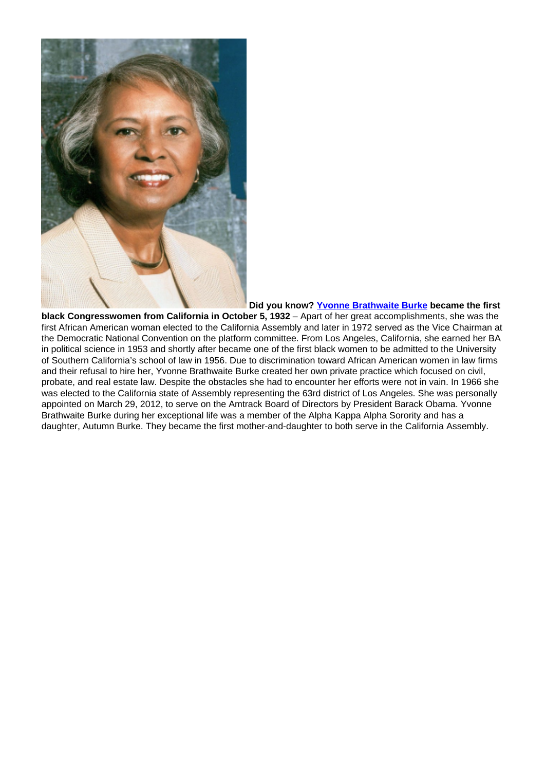

# **Did you know? Yvonne Brathwaite Burke became the first**

**black Congresswomen from California in October 5, 1932** – Apart of her great accomplishments, she was the first African American woman elected to the California Assembly and later in 1972 served as the Vice Chairman at the Democratic National Convention on the platform committee. From Los Angeles, California, she earned her BA in political science in 1953 and shortly after became one of the first black women to be admitted to the University of Southern California's school of law in 1956. Due to discrimination toward African American women in law firms and their refusal to hire her, Yvonne Brathwaite Burke created her own private practice which focused on civil, probate, and real estate law. Despite the obstacles she had to encounter her efforts were not in vain. In 1966 she was elected to the California state of Assembly representing the 63rd district of Los Angeles. She was personally appointed on March 29, 2012, to serve on the Amtrack Board of Directors by President Barack Obama. Yvonne Brathwaite Burke during her exceptional life was a member of the Alpha Kappa Alpha Sorority and has a daughter, Autumn Burke. They became the first mother-and-daughter to both serve in the California Assembly.